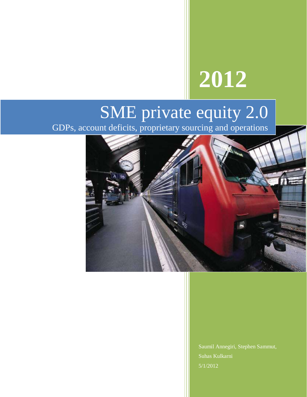# **2012**

## SME private equity 2.0

GDPs, account deficits, proprietary sourcing and operations



Saumil Annegiri, Stephen Sammut, Suhas Kulkarni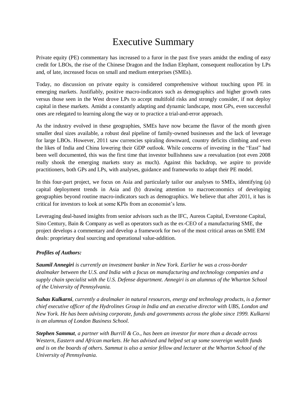## Executive Summary

Private equity (PE) commentary has increased to a furor in the past five years amidst the ending of easy credit for LBOs, the rise of the Chinese Dragon and the Indian Elephant, consequent reallocation by LPs and, of late, increased focus on small and medium enterprises (SMEs).

Today, no discussion on private equity is considered comprehensive without touching upon PE in emerging markets. Justifiably, positive macro-indicators such as demographics and higher growth rates versus those seen in the West drove LPs to accept multifold risks and strongly consider, if not deploy capital in these markets. Amidst a constantly adapting and dynamic landscape, most GPs, even successful ones are relegated to learning along the way or to practice a trial-and-error approach.

As the industry evolved in these geographies, SMEs have now became the flavor of the month given smaller deal sizes available, a robust deal pipeline of family-owned businesses and the lack of leverage for large LBOs. However, 2011 saw currencies spiraling downward, country deficits climbing and even the likes of India and China lowering their GDP outlook. While concerns of investing in the "East" had been well documented, this was the first time that investor bullishness saw a reevaluation (not even 2008 really shook the emerging markets story as much). Against this backdrop, we aspire to provide practitioners, both GPs and LPs, with analyses, guidance and frameworks to adapt their PE model.

In this four-part project, we focus on Asia and particularly tailor our analyses to SMEs, identifying (a) capital deployment trends in Asia and (b) drawing attention to macroeconomics of developing geographies beyond routine macro-indicators such as demographics. We believe that after 2011, it has is critical for investors to look at some KPIs from an economist's lens.

Leveraging deal-based insights from senior advisors such as the IFC, Aureos Capital, Everstone Capital, Sino Century, Bain & Company as well as operators such as the ex-CEO of a manufacturing SME, the project develops a commentary and develop a framework for two of the most critical areas on SME EM deals: proprietary deal sourcing and operational value-addition.

#### *Profiles of Authors:*

*Saumil Annegiri is currently an investment banker in New York. Earlier he was a cross-border dealmaker between the U.S. and India with a focus on manufacturing and technology companies and a supply chain specialist with the U.S. Defense department. Annegiri is an alumnus of the Wharton School of the University of Pennsylvania.* 

*Suhas Kulkarni, currently a dealmaker in natural resources, energy and technology products, is a former chief executive officer of the Hydrolines Group in India and an executive director with UBS, London and New York. He has been advising corporate, funds and governments across the globe since 1999. Kulkarni is an alumnus of London Business School.* 

*Stephen Sammut, a partner with Burrill & Co., has been an investor for more than a decade across Western, Eastern and African markets. He has advised and helped set up some sovereign wealth funds and is on the boards of others. Sammut is also a senior fellow and lecturer at the Wharton School of the University of Pennsylvania.*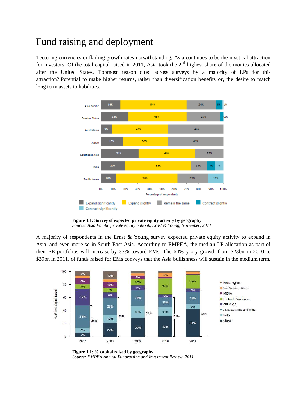## Fund raising and deployment

Teetering currencies or flailing growth rates notwithstanding, Asia continues to be the mystical attraction for investors. Of the total capital raised in 2011, Asia took the  $2<sup>nd</sup>$  highest share of the monies allocated after the United States. Topmost reason cited across surveys by a majority of LPs for this attraction? Potential to make higher returns, rather than diversification benefits or, the desire to match long term assets to liabilities.



**Figure 1.1: Survey of expected private equity activity by geography**  *Source: Asia Pacific private equity outlook, Ernst & Young, November, 2011*

A majority of respondents in the Ernst & Young survey expected private equity activity to expand in Asia, and even more so in South East Asia. According to EMPEA, the median LP allocation as part of their PE portfolios will increase by 33% toward EMs. The 64% y-o-y growth from \$23bn in 2010 to \$39bn in 2011, of funds raised for EMs conveys that the Asia bullishness will sustain in the medium term.



**Figure 1.1: % capital raised by geography** *Source: EMPEA Annual Fundraising and Investment Review, 2011*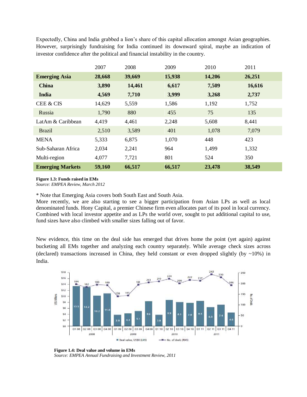Expectedly, China and India grabbed a lion's share of this capital allocation amongst Asian geographies. However, surprisingly fundraising for India continued its downward spiral, maybe an indication of investor confidence after the political and financial instability in the country.

|                         | 2007   | 2008   | 2009   | 2010   | 2011   |
|-------------------------|--------|--------|--------|--------|--------|
| <b>Emerging Asia</b>    | 28,668 | 39,669 | 15,938 | 14,206 | 26,251 |
| <b>China</b>            | 3,890  | 14,461 | 6,617  | 7,509  | 16,616 |
| <b>India</b>            | 4,569  | 7,710  | 3,999  | 3,268  | 2,737  |
| CEE & CIS               | 14,629 | 5,559  | 1,586  | 1,192  | 1,752  |
| Russia                  | 1,790  | 880    | 455    | 75     | 135    |
| LatAm & Caribbean       | 4,419  | 4,461  | 2,248  | 5,608  | 8,441  |
| <b>Brazil</b>           | 2,510  | 3,589  | 401    | 1,078  | 7,079  |
| <b>MENA</b>             | 5,333  | 6,875  | 1,070  | 448    | 423    |
| Sub-Saharan Africa      | 2,034  | 2,241  | 964    | 1,499  | 1,332  |
| Multi-region            | 4,077  | 7,721  | 801    | 524    | 350    |
| <b>Emerging Markets</b> | 59,160 | 66,517 | 66,517 | 23,478 | 38,549 |

#### **Figure 1.3: Funds raised in EMs**

*Source: EMPEA Review, March 2012*

\* Note that Emerging Asia covers both South East and South Asia.

More recently, we are also starting to see a bigger participation from Asian LPs as well as local denominated funds. Hony Capital, a premier Chinese firm even allocates part of its pool in local currency. Combined with local investor appetite and as LPs the world over, sought to put additional capital to use, fund sizes have also climbed with smaller sizes falling out of favor.

New evidence, this time on the deal side has emerged that drives home the point (yet again) against bucketing all EMs together and analyzing each country separately. While average check sizes across (declared) transactions increased in China, they held constant or even dropped slightly (by  $\sim$ 10%) in India.



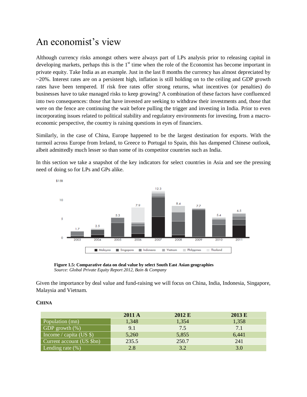## An economist's view

Although currency risks amongst others were always part of LPs analysis prior to releasing capital in developing markets, perhaps this is the  $1<sup>st</sup>$  time when the role of the Economist has become important in private equity. Take India as an example. Just in the last 8 months the currency has almost depreciated by  $\sim$  20%. Interest rates are on a persistent high, inflation is still holding on to the ceiling and GDP growth rates have been tempered. If risk free rates offer strong returns, what incentives (or penalties) do businesses have to take managed risks to keep growing? A combination of these factors have confluenced into two consequences: those that have invested are seeking to withdraw their investments and, those that were on the fence are continuing the wait before pulling the trigger and investing in India. Prior to even incorporating issues related to political stability and regulatory environments for investing, from a macroeconomic perspective, the country is raising questions in eyes of financiers.

Similarly, in the case of China, Europe happened to be the largest destination for exports. With the turmoil across Europe from Ireland, to Greece to Portugal to Spain, this has dampened Chinese outlook, albeit admittedly much lesser so than some of its competitor countries such as India.

In this section we take a snapshot of the key indicators for select countries in Asia and see the pressing need of doing so for LPs and GPs alike.



**Figure 1.5: Comparative data on deal value by select South East Asian geographies**  *Source: Global Private Equity Report 2012, Bain & Company*

Given the importance by deal value and fund-raising we will focus on China, India, Indonesia, Singapore, Malaysia and Vietnam.

#### **CHINA**

|                           | 2011 A | 2012 E | 2013 E |
|---------------------------|--------|--------|--------|
| Population (mn)           | 1,348  | 1,354  | 1,358  |
| GDP growth $(\%)$         | 9.1    | 7.5    | 7.1    |
| Income / capita (US $\$ ) | 5,260  | 5,855  | 6,441  |
| Current account (US \$bn) | 235.5  | 250.7  | 241    |
| Lending rate $(\%)$       | 2.8    | 3.2    | 3.0    |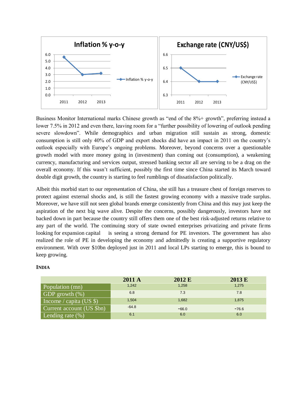

Business Monitor International marks Chinese growth as "end of the 8%+ growth", preferring instead a lower 7.5% in 2012 and even there, leaving room for a "further possibility of lowering of outlook pending severe slowdown". While demographics and urban migration still sustain as strong, domestic consumption is still only 40% of GDP and export shocks did have an impact in 2011 on the country's outlook especially with Europe's ongoing problems. Moreover, beyond concerns over a questionable growth model with more money going in (investment) than coming out (consumption), a weakening currency, manufacturing and services output, stressed banking sector all are serving to be a drag on the overall economy. If this wasn't sufficient, possibly the first time since China started its March toward double digit growth, the country is starting to feel rumblings of dissatisfaction politically.

Albeit this morbid start to our representation of China, she still has a treasure chest of foreign reserves to protect against external shocks and, is still the fastest growing economy with a massive trade surplus. Moreover, we have still not seen global brands emerge consistently from China and this may just keep the aspiration of the next big wave alive. Despite the concerns, possibly dangerously, investors have not backed down in part because the country still offers them one of the best risk-adjusted returns relative to any part of the world. The continuing story of state owned enterprises privatizing and private firms looking for expansion capital is seeing a strong demand for PE investors. The government has also realized the role of PE in developing the economy and admittedly is creating a supportive regulatory environment. With over \$10bn deployed just in 2011 and local LPs starting to emerge, this is bound to keep growing.

#### **INDIA**

|                           | 2011 A  | 2012 E  | 2013 E  |
|---------------------------|---------|---------|---------|
| Population (mn)           | 1,242   | 1,258   | 1,275   |
| GDP growth (%)            | 6.8     | 7.3     | 7.8     |
| Income / capita (US $\})$ | 1,504   | 1,682   | 1.875   |
| Current account (US \$bn) | $-64.8$ | $-66.0$ | $-76.6$ |
| Lending rate $(\% )$      | 6.1     | 6.0     | 6.0     |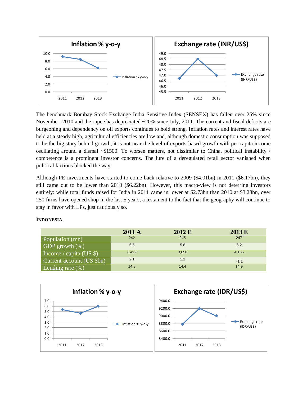

The benchmark Bombay Stock Exchange India Sensitive Index (SENSEX) has fallen over 25% since November, 2010 and the rupee has depreciated  $\sim$ 20% since July, 2011. The current and fiscal deficits are burgeoning and dependency on oil exports continues to hold strong. Inflation rates and interest rates have held at a steady high, agricultural efficiencies are low and, although domestic consumption was supposed to be the big story behind growth, it is not near the level of exports-based growth with per capita income oscillating around a dismal ~\$1500. To worsen matters, not dissimilar to China, political instability / competence is a prominent investor concerns. The lure of a deregulated retail sector vanished when political factions blocked the way.

Although PE investments have started to come back relative to 2009 (\$4.01bn) in 2011 (\$6.17bn), they still came out to be lower than 2010 (\$6.22bn). However, this macro-view is not deterring investors entirely: while total funds raised for India in 2011 came in lower at \$2.73bn than 2010 at \$3.28bn, over 250 firms have opened shop in the last 5 years, a testament to the fact that the geography will continue to stay in favor with LPs, just cautiously so.

|                           | 2011 A | 2012 E | 2013 E |
|---------------------------|--------|--------|--------|
| Population (mn)           | 242    | 245    | 247    |
| GDP growth (%)            | 6.5    | 5.8    | 6.2    |
| Income / capita (US $\})$ | 3,492  | 3,656  | 4.165  |
| Current account (US \$bn) | 2.1    | 1.1    | $-1.1$ |
| Lending rate (%)          | 14.8   | 14.4   | 14.9   |

## **INDONESIA**

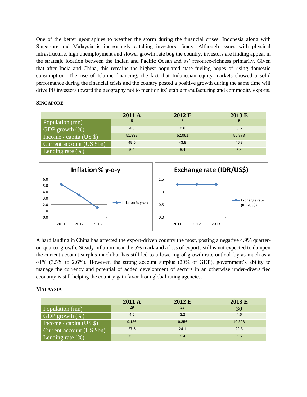One of the better geographies to weather the storm during the financial crises, Indonesia along with Singapore and Malaysia is increasingly catching investors' fancy. Although issues with physical infrastructure, high unemployment and slower growth rate bog the country, investors are finding appeal in the strategic location between the Indian and Pacific Ocean and its' resource-richness primarily. Given that after India and China, this remains the highest populated state fueling hopes of rising domestic consumption. The rise of Islamic financing, the fact that Indonesian equity markets showed a solid performance during the financial crisis and the country posted a positive growth during the same time will drive PE investors toward the geography not to mention its' stable manufacturing and commodity exports.

#### **SINGAPORE**

|                           | 2011 A | 2012 E | 2013 E |
|---------------------------|--------|--------|--------|
| Population (mn)           | 5      | 5      | 5      |
| GDP growth (%)            | 4.8    | 2.6    | 3.5    |
| Income / capita (US $\})$ | 51,339 | 52,061 | 56,878 |
| Current account (US \$bn) | 49.5   | 43.8   | 46.8   |
| Lending rate $(\% )$      | 5.4    | 5.4    | 5.4    |



A hard landing in China has affected the export-driven country the most, posting a negative 4.9% quarteron-quarter growth. Steady inflation near the 5% mark and a loss of exports still is not expected to dampen the current account surplus much but has still led to a lowering of growth rate outlook by as much as a  $\sim$ 1% (3.5% to 2.6%). However, the strong account surplus (20% of GDP), government's ability to manage the currency and potential of added development of sectors in an otherwise under-diversified economy is still helping the country gain favor from global rating agencies.

#### **MALAYSIA**

|                              | 2011 A | 2012 E | 2013 E |
|------------------------------|--------|--------|--------|
| Population $(\overline{mn})$ | 29     | 29     | 30     |
| GDP growth (%)               | 4.5    | 3.2    | 4.6    |
| Income / capita (US $\})$    | 9,136  | 9,356  | 10,398 |
| Current account (US \$bn)    | 27.5   | 24.1   | 22.3   |
| Lending rate (%)             | 5.3    | 5.4    | 5.5    |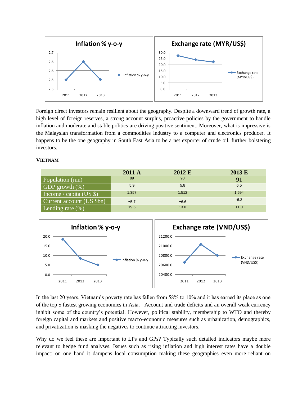

Foreign direct investors remain resilient about the geography. Despite a downward trend of growth rate, a high level of foreign reserves, a strong account surplus, proactive policies by the government to handle inflation and moderate and stable politics are driving positive sentiment. Moreover, what is impressive is the Malaysian transformation from a commodities industry to a computer and electronics producer. It happens to be the one geography in South East Asia to be a net exporter of crude oil, further bolstering investors.

#### **VIETNAM**

|                           | 2011 A | 2012 E | 2013 E |
|---------------------------|--------|--------|--------|
| Population (mn)           | 89     | 90     | 91     |
| GDP growth $(\% )$        | 5.9    | 5.8    | 6.5    |
| Income / capita (US $\})$ | 1,357  | 1,512  | 1,694  |
| Current account (US \$bn) | $-5.7$ | $-6.6$ | $-6.3$ |
| Lending rate $(\%)$       | 19.5   | 13.0   | 11.0   |



In the last 20 years, Vietnam's poverty rate has fallen from 58% to 10% and it has earned its place as one of the top 5 fastest growing economies in Asia. Account and trade deficits and an overall weak currency inhibit some of the country's potential. However, political stability, membership to WTO and thereby foreign capital and markets and positive macro-economic measures such as urbanization, demographics, and privatization is masking the negatives to continue attracting investors.

Why do we feel these are important to LPs and GPs? Typically such detailed indicators maybe more relevant to hedge fund analyses. Issues such as rising inflation and high interest rates have a double impact: on one hand it dampens local consumption making these geographies even more reliant on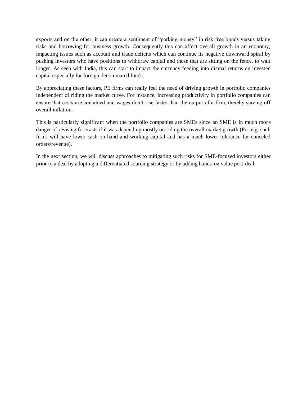exports and on the other, it can create a sentiment of "parking money" in risk free bonds versus taking risks and borrowing for business growth. Consequently this can affect overall growth in an economy, impacting issues such as account and trade deficits which can continue its negative downward spiral by pushing investors who have positions to withdraw capital and those that are sitting on the fence, to wait longer. As seen with India, this can start to impact the currency feeding into dismal returns on invested capital especially for foreign denominated funds.

By appreciating these factors, PE firms can really feel the need of driving growth in portfolio companies independent of riding the market curve. For instance, increasing productivity in portfolio companies can ensure that costs are contained and wages don't rise faster than the output of a firm, thereby staving off overall inflation.

This is particularly significant when the portfolio companies are SMEs since an SME is in much more danger of revising forecasts if it was depending mostly on riding the overall market growth (For e.g. such firms will have lower cash on hand and working capital and has a much lower tolerance for canceled orders/revenue).

In the next section, we will discuss approaches to mitigating such risks for SME-focused investors either prior to a deal by adopting a differentiated sourcing strategy or by adding hands-on value post-deal.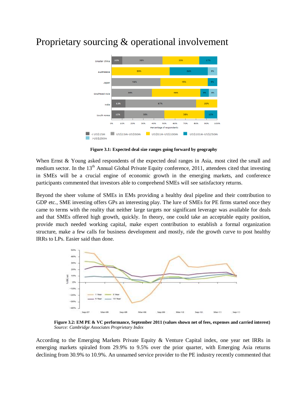

### Proprietary sourcing & operational involvement

**Figure 3.1: Expected deal size ranges going forward by geography**

When Ernst & Young asked respondents of the expected deal ranges in Asia, most cited the small and medium sector. In the 13<sup>th</sup> Annual Global Private Equity conference, 2011, attendees cited that investing in SMEs will be a crucial engine of economic growth in the emerging markets, and conference participants commented that investors able to comprehend SMEs will see satisfactory returns.

Beyond the sheer volume of SMEs in EMs providing a healthy deal pipeline and their contribution to GDP etc., SME investing offers GPs an interesting play. The lure of SMEs for PE firms started once they came to terms with the reality that neither large targets nor significant leverage was available for deals and that SMEs offered high growth, quickly. In theory, one could take an acceptable equity position, provide much needed working capital, make expert contribution to establish a formal organization structure, make a few calls for business development and mostly, ride the growth curve to post healthy IRRs to LPs. Easier said than done.



**Figure 3.2: EM PE & VC performance, September 2011 (values shown net of fees, expenses and carried interest)** *Source: Cambridge Associates Proprietary Index*

According to the Emerging Markets Private Equity & Venture Capital index, one year net IRRs in emerging markets spiraled from 29.9% to 9.5% over the prior quarter, with Emerging Asia returns declining from 30.9% to 10.9%. An unnamed service provider to the PE industry recently commented that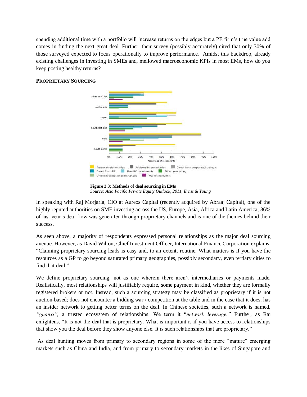spending additional time with a portfolio will increase returns on the edges but a PE firm's true value add comes in finding the next great deal. Further, their survey (possibly accurately) cited that only 30% of those surveyed expected to focus operationally to improve performance. Amidst this backdrop, already existing challenges in investing in SMEs and, mellowed macroeconomic KPIs in most EMs, how do you keep posting healthy returns?



#### **PROPRIETARY SOURCING**

**Figure 3.3: Methods of deal sourcing in EMs**  *Source: Asia Pacific Private Equity Outlook, 2011, Ernst & Young*

In speaking with Raj Morjaria, CIO at Aureos Capital (recently acquired by Abraaj Capital), one of the highly reputed authorities on SME investing across the US, Europe, Asia, Africa and Latin America, 86% of last year's deal flow was generated through proprietary channels and is one of the themes behind their success.

As seen above, a majority of respondents expressed personal relationships as the major deal sourcing avenue. However, as David Wilton, Chief Investment Officer, International Finance Corporation explains, "Claiming proprietary sourcing leads is easy and, to an extent, routine. What matters is if you have the resources as a GP to go beyond saturated primary geographies, possibly secondary, even tertiary cities to find that deal."

We define proprietary sourcing, not as one wherein there aren't intermediaries or payments made. Realistically, most relationships will justifiably require, some payment in kind, whether they are formally registered brokers or not. Instead, such a sourcing strategy may be classified as proprietary if it is not auction-based; does not encounter a bidding war / competition at the table and in the case that it does, has an insider network to getting better terms on the deal. In Chinese societies, such a network is named, *"guanxi",* a trusted ecosystem of relationships. We term it "*network leverage."* Further, as Raj enlightens, "It is not the deal that is proprietary. What is important is if you have access to relationships that show you the deal before they show anyone else. It is such relationships that are proprietary."

As deal hunting moves from primary to secondary regions in some of the more "mature" emerging markets such as China and India, and from primary to secondary markets in the likes of Singapore and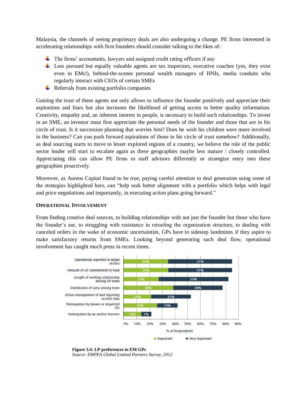Malaysia, the channels of seeing proprietary deals are also undergoing a change. PE firms interested in accelerating relationships with firm founders should consider talking to the likes of:

- $\overline{\text{+}}$  The firms' accountants, lawyers and assigned credit rating officers if any
- $\perp$  Less pursued but equally valuable agents are tax inspectors, executive coaches (yes, they exist even in EMs!), behind-the-scenes personal wealth managers of HNIs, media conduits who regularly interact with CEOs of certain SMEs
- $\overline{\phantom{a}}$  Referrals from existing portfolio companies

Gaining the trust of these agents not only allows to influence the founder positively and appreciate their aspirations and fears but also increases the likelihood of getting access to better quality information. Creativity, empathy and, an inherent interest in people, is necessary to build such relationships. To invest in an SME, an investor must first appreciate the personal needs of the founder and those that are in his circle of trust. Is it succession planning that worries him? Does he wish his children were more involved in the business? Can you push forward aspirations of those in his circle of trust somehow? Additionally, as deal sourcing starts to move to lesser explored regions of a country, we believe the role of the public sector leader will start to escalate again as these geographies maybe less mature / closely controlled. Appreciating this can allow PE firms to staff advisors differently or strategize entry into these geographies proactively.

Moreover, as Aureos Capital found to be true, paying careful attention to deal generation using some of the strategies highlighted here, can "help seek better alignment with a portfolio which helps with legal and price negotiations and importantly, in executing action plans going forward."

#### **OPERATIONAL INVOLVEMENT**

From finding creative deal sources, to building relationships with not just the founder but those who have the founder's ear, to struggling with resistance in retooling the organization structure, to dealing with canceled orders in the wake of economic uncertainties, GPs have to sidestep landmines if they aspire to make satisfactory returns from SMEs. Looking beyond generating such deal flow, operational involvement has caught much press in recent times.



**Figure 3.4: LP preferences in EM GPs**  *Source: EMPEA Global Limited Partners Survey, 2012*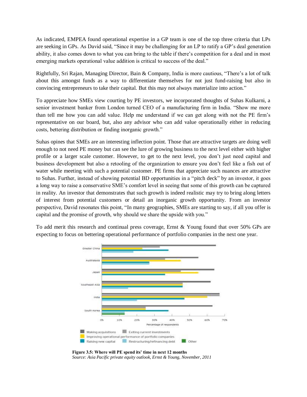As indicated, EMPEA found operational expertise in a GP team is one of the top three criteria that LPs are seeking in GPs. As David said, "Since it may be challenging for an LP to ratify a GP's deal generation ability, it also comes down to what you can bring to the table if there's competition for a deal and in most emerging markets operational value addition is critical to success of the deal."

Rightfully, Sri Rajan, Managing Director, Bain & Company, India is more cautious, "There's a lot of talk about this amongst funds as a way to differentiate themselves for not just fund-raising but also in convincing entrepreneurs to take their capital. But this may not always materialize into action."

To appreciate how SMEs view courting by PE investors, we incorporated thoughts of Suhas Kulkarni, a senior investment banker from London turned CEO of a manufacturing firm in India. "Show me more than tell me how you can add value. Help me understand if we can get along with not the PE firm's representative on our board, but, also any advisor who can add value operationally either in reducing costs, bettering distribution or finding inorganic growth."

Suhas opines that SMEs are an interesting inflection point. Those that are attractive targets are doing well enough to not need PE money but can see the lure of growing business to the next level either with higher profile or a larger scale customer. However, to get to the next level, you don't just need capital and business development but also a retooling of the organization to ensure you don't feel like a fish out of water while meeting with such a potential customer. PE firms that appreciate such nuances are attractive to Suhas. Further, instead of showing potential BD opportunities in a "pitch deck" by an investor, it goes a long way to raise a conservative SME's comfort level in seeing that some of this growth can be captured in reality. An investor that demonstrates that such growth is indeed realistic may try to bring along letters of interest from potential customers or detail an inorganic growth opportunity. From an investor perspective, David resonates this point, "In many geographies, SMEs are starting to say, if all you offer is capital and the promise of growth, why should we share the upside with you."

To add merit this research and continual press coverage, Ernst & Young found that over 50% GPs are expecting to focus on bettering operational performance of portfolio companies in the next one year.



**Figure 3.5: Where will PE spend its' time in next 12 months**  *Source: Asia Pacific private equity outlook, Ernst & Young, November, 2011*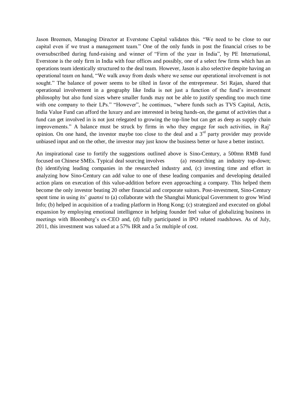Jason Breemen, Managing Director at Everstone Capital validates this. "We need to be close to our capital even if we trust a management team." One of the only funds in post the financial crises to be oversubscribed during fund-raising and winner of "Firm of the year in India", by PE International, Everstone is the only firm in India with four offices and possibly, one of a select few firms which has an operations team identically structured to the deal team. However, Jason is also selective despite having an operational team on hand, "We walk away from deals where we sense our operational involvement is not sought." The balance of power seems to be tilted in favor of the entrepreneur. Sri Rajan, shared that operational involvement in a geography like India is not just a function of the fund's investment philosophy but also fund sizes where smaller funds may not be able to justify spending too much time with one company to their LPs." "However", he continues, "where funds such as TVS Capital, Actis, India Value Fund can afford the luxury and are interested in being hands-on, the gamut of activities that a fund can get involved in is not just relegated to growing the top-line but can get as deep as supply chain improvements." A balance must be struck by firms in who they engage for such activities, in Raj' opinion. On one hand, the investor maybe too close to the deal and a  $3<sup>rd</sup>$  party provider may provide unbiased input and on the other, the investor may just know the business better or have a better instinct.

An inspirational case to fortify the suggestions outlined above is Sino-Century, a 500mn RMB fund focused on Chinese SMEs. Typical deal sourcing involves (a) researching an industry top-down; (b) identifying leading companies in the researched industry and, (c) investing time and effort in analyzing how Sino-Century can add value to one of these leading companies and developing detailed action plans on execution of this value-addition before even approaching a company. This helped them become the only investor beating 20 other financial and corporate suitors. Post-investment, Sino-Century spent time in using its' *guanxi* to (a) collaborate with the Shanghai Municipal Government to grow Wind Info; (b) helped in acquisition of a trading platform in Hong Kong; (c) strategized and executed on global expansion by employing emotional intelligence in helping founder feel value of globalizing business in meetings with Bloomberg's ex-CEO and, (d) fully participated in IPO related roadshows. As of July, 2011, this investment was valued at a 57% IRR and a 5x multiple of cost.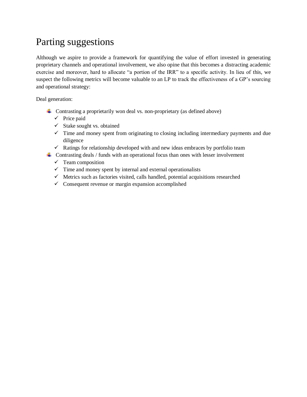## Parting suggestions

Although we aspire to provide a framework for quantifying the value of effort invested in generating proprietary channels and operational involvement, we also opine that this becomes a distracting academic exercise and moreover, hard to allocate "a portion of the IRR" to a specific activity. In lieu of this, we suspect the following metrics will become valuable to an LP to track the effectiveness of a GP's sourcing and operational strategy:

Deal generation:

- Contrasting a proprietarily won deal vs. non-proprietary (as defined above)
	- $\checkmark$  Price paid
	- $\checkmark$  Stake sought vs. obtained
	- $\checkmark$  Time and money spent from originating to closing including intermediary payments and due diligence
	- $\checkmark$  Ratings for relationship developed with and new ideas embraces by portfolio team
- $\overline{\phantom{a}}$  Contrasting deals / funds with an operational focus than ones with lesser involvement
	- $\checkmark$  Team composition
	- $\checkmark$  Time and money spent by internal and external operationalists
	- $\checkmark$  Metrics such as factories visited, calls handled, potential acquisitions researched
	- $\checkmark$  Consequent revenue or margin expansion accomplished